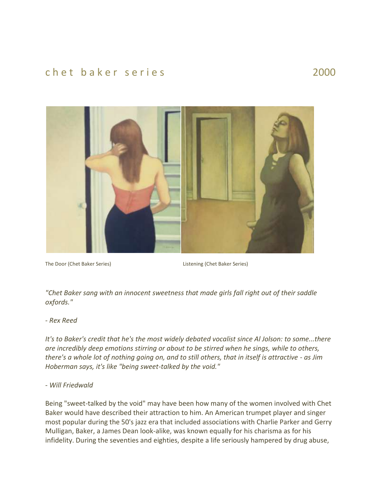## chet baker series and 2000



The Door (Chet Baker Series) Listening (Chet Baker Series)

*"Chet Baker sang with an innocent sweetness that made girls fall right out of their saddle oxfords."*

## *- Rex Reed*

*It's to Baker's credit that he's the most widely debated vocalist since Al Jolson: to some...there are incredibly deep emotions stirring or about to be stirred when he sings, while to others, there's a whole lot of nothing going on, and to still others, that in itself is attractive - as Jim Hoberman says, it's like "being sweet-talked by the void."*

## *- Will Friedwald*

Being "sweet-talked by the void" may have been how many of the women involved with Chet Baker would have described their attraction to him. An American trumpet player and singer most popular during the 50's jazz era that included associations with Charlie Parker and Gerry Mulligan, Baker, a James Dean look-alike, was known equally for his charisma as for his infidelity. During the seventies and eighties, despite a life seriously hampered by drug abuse,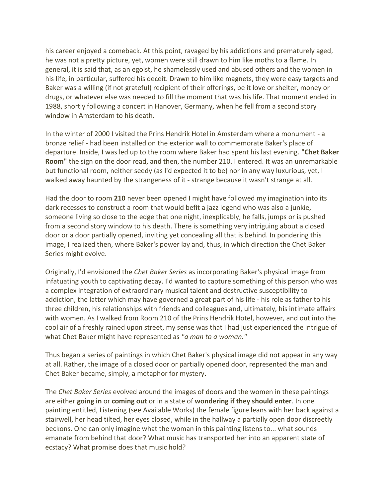his career enjoyed a comeback. At this point, ravaged by his addictions and prematurely aged, he was not a pretty picture, yet, women were still drawn to him like moths to a flame. In general, it is said that, as an egoist, he shamelessly used and abused others and the women in his life, in particular, suffered his deceit. Drawn to him like magnets, they were easy targets and Baker was a willing (if not grateful) recipient of their offerings, be it love or shelter, money or drugs, or whatever else was needed to fill the moment that was his life. That moment ended in 1988, shortly following a concert in Hanover, Germany, when he fell from a second story window in Amsterdam to his death.

In the winter of 2000 I visited the Prins Hendrik Hotel in Amsterdam where a monument - a bronze relief - had been installed on the exterior wall to commemorate Baker's place of departure. Inside, I was led up to the room where Baker had spent his last evening. **"Chet Baker Room"** the sign on the door read, and then, the number 210. I entered. It was an unremarkable but functional room, neither seedy (as I'd expected it to be) nor in any way luxurious, yet, I walked away haunted by the strangeness of it - strange because it wasn't strange at all.

Had the door to room **210** never been opened I might have followed my imagination into its dark recesses to construct a room that would befit a jazz legend who was also a junkie, someone living so close to the edge that one night, inexplicably, he falls, jumps or is pushed from a second story window to his death. There is something very intriguing about a closed door or a door partially opened, inviting yet concealing all that is behind. In pondering this image, I realized then, where Baker's power lay and, thus, in which direction the Chet Baker Series might evolve.

Originally, I'd envisioned the *Chet Baker Series* as incorporating Baker's physical image from infatuating youth to captivating decay. I'd wanted to capture something of this person who was a complex integration of extraordinary musical talent and destructive susceptibility to addiction, the latter which may have governed a great part of his life - his role as father to his three children, his relationships with friends and colleagues and, ultimately, his intimate affairs with women. As I walked from Room 210 of the Prins Hendrik Hotel, however, and out into the cool air of a freshly rained upon street, my sense was that I had just experienced the intrigue of what Chet Baker might have represented as *"a man to a woman."*

Thus began a series of paintings in which Chet Baker's physical image did not appear in any way at all. Rather, the image of a closed door or partially opened door, represented the man and Chet Baker became, simply, a metaphor for mystery.

The *Chet Baker Series* evolved around the images of doors and the women in these paintings are either **going in** or **coming out** or in a state of **wondering if they should enter**. In one painting entitled, Listening (see Available Works) the female figure leans with her back against a stairwell, her head tilted, her eyes closed, while in the hallway a partially open door discreetly beckons. One can only imagine what the woman in this painting listens to... what sounds emanate from behind that door? What music has transported her into an apparent state of ecstacy? What promise does that music hold?